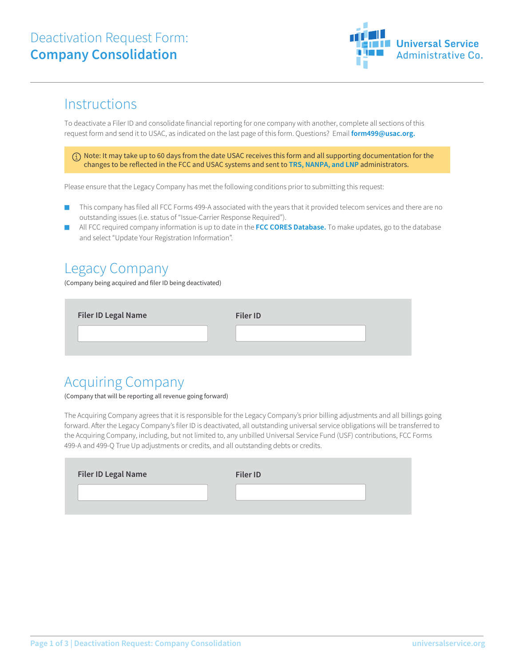## Deactivation Request Form: **Company Consolidation**



## **Instructions**

To deactivate a Filer ID and consolidate financial reporting for one company with another, complete all sections of this request form and send it to USAC, as indicated on the last page of this form. Questions? Email **form499@usac.org.**

 $(i)$  Note: It may take up to 60 days from the date USAC receives this form and all supporting documentation for the changes to be reflected in the FCC and USAC systems and sent to **TRS, NANPA, and LNP** administrators.

Please ensure that the Legacy Company has met the following conditions prior to submitting this request:

- This company has filed all FCC Forms 499-A associated with the years that it provided telecom services and there are no outstanding issues (i.e. status of "Issue-Carrier Response Required").
- All FCC required company information is up to date in the **FCC CORES Database.** To make updates, go to the database and select "Update Your Registration Information".

## Legacy Company

(Company being acquired and filer ID being deactivated)

| <b>Filer ID Legal Name</b> | Filer ID |  |
|----------------------------|----------|--|
|                            |          |  |

## Acquiring Company

(Company that will be reporting all revenue going forward)

The Acquiring Company agrees that it is responsible for the Legacy Company's prior billing adjustments and all billings going forward. After the Legacy Company's filer ID is deactivated, all outstanding universal service obligations will be transferred to the Acquiring Company, including, but not limited to, any unbilled Universal Service Fund (USF) contributions, FCC Forms 499-A and 499-Q True Up adjustments or credits, and all outstanding debts or credits.

| <b>Filer ID Legal Name</b> | <b>Filer ID</b> |
|----------------------------|-----------------|
|                            |                 |
|                            |                 |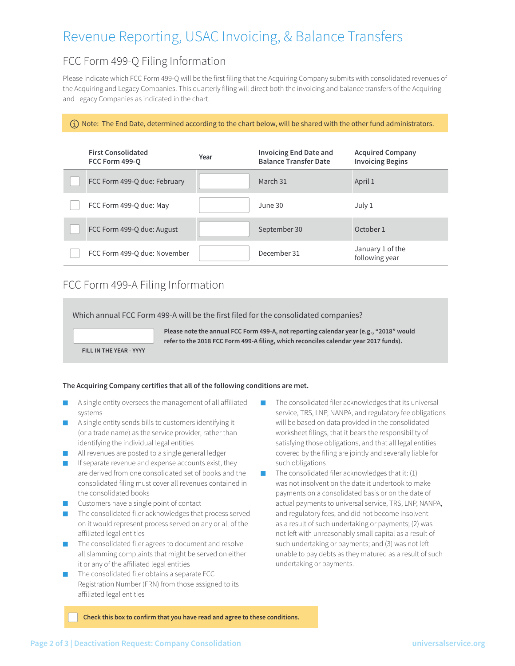# Revenue Reporting, USAC Invoicing, & Balance Transfers

### FCC Form 499-Q Filing Information

Please indicate which FCC Form 499-Q will be the first filing that the Acquiring Company submits with consolidated revenues of the Acquiring and Legacy Companies. This quarterly filing will direct both the invoicing and balance transfers of the Acquiring and Legacy Companies as indicated in the chart.

#### $(i)$  Note: The End Date, determined according to the chart below, will be shared with the other fund administrators.

| <b>First Consolidated</b><br>FCC Form 499-0 | Year | <b>Invoicing End Date and</b><br><b>Balance Transfer Date</b> | <b>Acquired Company</b><br><b>Invoicing Begins</b> |
|---------------------------------------------|------|---------------------------------------------------------------|----------------------------------------------------|
| FCC Form 499-Q due: February                |      | March 31                                                      | April 1                                            |
| FCC Form 499-Q due: May                     |      | June 30                                                       | July 1                                             |
| FCC Form 499-Q due: August                  |      | September 30                                                  | October 1                                          |
| FCC Form 499-Q due: November                |      | December 31                                                   | January 1 of the<br>following year                 |

### FCC Form 499-A Filing Information

Which annual FCC Form 499-A will be the first filed for the consolidated companies?

**Please note the annual FCC Form 499-A, not reporting calendar year (e.g., "2018" would refer to the 2018 FCC Form 499-A filing, which reconciles calendar year 2017 funds).**

**FILL IN THE YEAR - YYYY**

#### **The Acquiring Company certifies that all of the following conditions are met.**

- A single entity oversees the management of all affiliated systems
- A single entity sends bills to customers identifying it (or a trade name) as the service provider, rather than identifying the individual legal entities
- All revenues are posted to a single general ledger
- If separate revenue and expense accounts exist, they are derived from one consolidated set of books and the consolidated filing must cover all revenues contained in the consolidated books
- Customers have a single point of contact
- The consolidated filer acknowledges that process served on it would represent process served on any or all of the affiliated legal entities
- The consolidated filer agrees to document and resolve all slamming complaints that might be served on either it or any of the affiliated legal entities
- The consolidated filer obtains a separate FCC Registration Number (FRN) from those assigned to its affiliated legal entities
- The consolidated filer acknowledges that its universal service, TRS, LNP, NANPA, and regulatory fee obligations will be based on data provided in the consolidated worksheet filings, that it bears the responsibility of satisfying those obligations, and that all legal entities covered by the filing are jointly and severally liable for such obligations
- The consolidated filer acknowledges that it:  $(1)$ was not insolvent on the date it undertook to make payments on a consolidated basis or on the date of actual payments to universal service, TRS, LNP, NANPA, and regulatory fees, and did not become insolvent as a result of such undertaking or payments; (2) was not left with unreasonably small capital as a result of such undertaking or payments; and (3) was not left unable to pay debts as they matured as a result of such undertaking or payments.

**Check this box to confirm that you have read and agree to these conditions.**